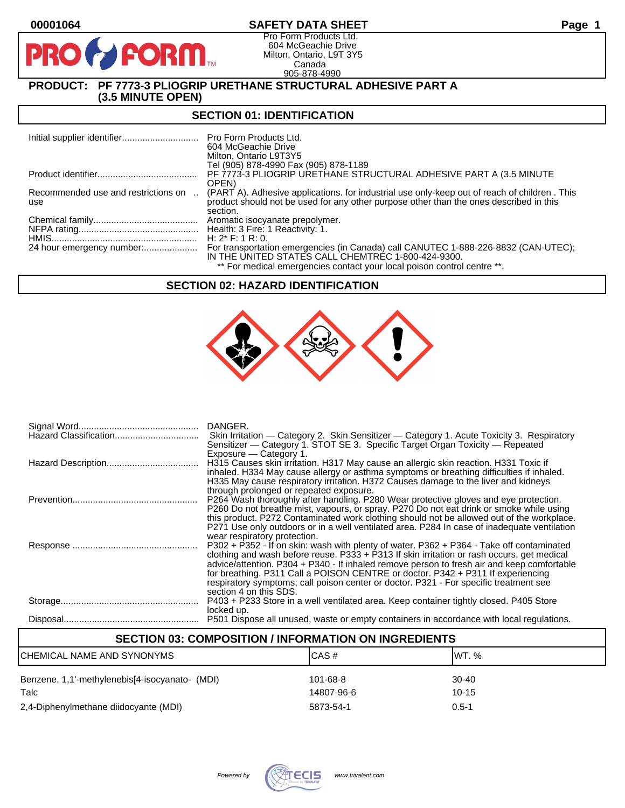# **00001064 SAFETY DATA SHEET Page 1**

Pro Form Products Ltd. 604 McGeachie Drive Milton, Ontario, L9T 3Y5 Canada 905-878-4990

# **PRODUCT: PF 7773-3 PLIOGRIP URETHANE STRUCTURAL ADHESIVE PART A (3.5 MINUTE OPEN)**

**FORM** 

## **SECTION 01: IDENTIFICATION**

|                                            | Pro Form Products Ltd.<br>604 McGeachie Drive<br>Milton, Ontario L9T3Y5                                                                                                                            |
|--------------------------------------------|----------------------------------------------------------------------------------------------------------------------------------------------------------------------------------------------------|
|                                            | Tel (905) 878-4990 Fax (905) 878-1189                                                                                                                                                              |
|                                            | PF 7773-3 PLIOGRIP URETHANE STRUCTURAL ADHESIVE PART A (3.5 MINUTE                                                                                                                                 |
|                                            | OPEN)                                                                                                                                                                                              |
| Recommended use and restrictions on<br>use | (PART A). Adhesive applications, for industrial use only-keep out of reach of children, This<br>product should not be used for any other purpose other than the ones described in this<br>section. |
|                                            | Aromatic isocyanate prepolymer.                                                                                                                                                                    |
|                                            | Health: 3 Fire: 1 Reactivity: 1.                                                                                                                                                                   |
|                                            | H: $2^*$ F: 1 R: 0.                                                                                                                                                                                |
|                                            | For transportation emergencies (in Canada) call CANUTEC 1-888-226-8832 (CAN-UTEC);                                                                                                                 |
|                                            | IN THE UNITED STATES CALL CHEMTREC 1-800-424-9300.                                                                                                                                                 |
|                                            | ** For medical emergencies contact your local poison control centre **.                                                                                                                            |

## **SECTION 02: HAZARD IDENTIFICATION**



| Hazard Classification<br>Skin Irritation — Category 2. Skin Sensitizer — Category 1. Acute Toxicity 3. Respiratory<br>Sensitizer — Category 1. STOT SE 3. Specific Target Organ Toxicity — Repeated<br>Exposure – Category 1.<br>H315 Causes skin irritation. H317 May cause an allergic skin reaction. H331 Toxic if<br>inhaled. H334 May cause allergy or asthma symptoms or breathing difficulties if inhaled.<br>H335 May cause respiratory irritation. H372 Causes damage to the liver and kidneys<br>through prolonged or repeated exposure.<br>P264 Wash thoroughly after handling. P280 Wear protective gloves and eye protection.<br>P260 Do not breathe mist, vapours, or spray. P270 Do not eat drink or smoke while using<br>this product. P272 Contaminated work clothing should not be allowed out of the workplace.<br>P271 Use only outdoors or in a well ventilated area. P284 In case of inadequate ventilation<br>wear respiratory protection.<br>P302 + P352 - If on skin: wash with plenty of water. P362 + P364 - Take off contaminated<br>clothing and wash before reuse. $P333 + P313$ If skin irritation or rash occurs, get medical<br>advice/attention. P304 + P340 - If inhaled remove person to fresh air and keep comfortable<br>for breathing. P311 Call a POISON CENTRE or doctor. P342 + P311 If experiencing<br>respiratory symptoms; call poison center or doctor. P321 - For specific treatment see<br>section 4 on this SDS.<br>P403 + P233 Store in a well ventilated area. Keep container tightly closed. P405 Store<br>locked up.<br>P501 Dispose all unused, waste or empty containers in accordance with local regulations. | DANGER. |
|-----------------------------------------------------------------------------------------------------------------------------------------------------------------------------------------------------------------------------------------------------------------------------------------------------------------------------------------------------------------------------------------------------------------------------------------------------------------------------------------------------------------------------------------------------------------------------------------------------------------------------------------------------------------------------------------------------------------------------------------------------------------------------------------------------------------------------------------------------------------------------------------------------------------------------------------------------------------------------------------------------------------------------------------------------------------------------------------------------------------------------------------------------------------------------------------------------------------------------------------------------------------------------------------------------------------------------------------------------------------------------------------------------------------------------------------------------------------------------------------------------------------------------------------------------------------------------------------------------------------------------------------------------------------------|---------|
|                                                                                                                                                                                                                                                                                                                                                                                                                                                                                                                                                                                                                                                                                                                                                                                                                                                                                                                                                                                                                                                                                                                                                                                                                                                                                                                                                                                                                                                                                                                                                                                                                                                                       |         |
|                                                                                                                                                                                                                                                                                                                                                                                                                                                                                                                                                                                                                                                                                                                                                                                                                                                                                                                                                                                                                                                                                                                                                                                                                                                                                                                                                                                                                                                                                                                                                                                                                                                                       |         |
|                                                                                                                                                                                                                                                                                                                                                                                                                                                                                                                                                                                                                                                                                                                                                                                                                                                                                                                                                                                                                                                                                                                                                                                                                                                                                                                                                                                                                                                                                                                                                                                                                                                                       |         |
|                                                                                                                                                                                                                                                                                                                                                                                                                                                                                                                                                                                                                                                                                                                                                                                                                                                                                                                                                                                                                                                                                                                                                                                                                                                                                                                                                                                                                                                                                                                                                                                                                                                                       |         |
|                                                                                                                                                                                                                                                                                                                                                                                                                                                                                                                                                                                                                                                                                                                                                                                                                                                                                                                                                                                                                                                                                                                                                                                                                                                                                                                                                                                                                                                                                                                                                                                                                                                                       |         |
|                                                                                                                                                                                                                                                                                                                                                                                                                                                                                                                                                                                                                                                                                                                                                                                                                                                                                                                                                                                                                                                                                                                                                                                                                                                                                                                                                                                                                                                                                                                                                                                                                                                                       |         |
|                                                                                                                                                                                                                                                                                                                                                                                                                                                                                                                                                                                                                                                                                                                                                                                                                                                                                                                                                                                                                                                                                                                                                                                                                                                                                                                                                                                                                                                                                                                                                                                                                                                                       |         |
|                                                                                                                                                                                                                                                                                                                                                                                                                                                                                                                                                                                                                                                                                                                                                                                                                                                                                                                                                                                                                                                                                                                                                                                                                                                                                                                                                                                                                                                                                                                                                                                                                                                                       |         |
|                                                                                                                                                                                                                                                                                                                                                                                                                                                                                                                                                                                                                                                                                                                                                                                                                                                                                                                                                                                                                                                                                                                                                                                                                                                                                                                                                                                                                                                                                                                                                                                                                                                                       |         |
|                                                                                                                                                                                                                                                                                                                                                                                                                                                                                                                                                                                                                                                                                                                                                                                                                                                                                                                                                                                                                                                                                                                                                                                                                                                                                                                                                                                                                                                                                                                                                                                                                                                                       |         |
|                                                                                                                                                                                                                                                                                                                                                                                                                                                                                                                                                                                                                                                                                                                                                                                                                                                                                                                                                                                                                                                                                                                                                                                                                                                                                                                                                                                                                                                                                                                                                                                                                                                                       |         |
|                                                                                                                                                                                                                                                                                                                                                                                                                                                                                                                                                                                                                                                                                                                                                                                                                                                                                                                                                                                                                                                                                                                                                                                                                                                                                                                                                                                                                                                                                                                                                                                                                                                                       |         |
|                                                                                                                                                                                                                                                                                                                                                                                                                                                                                                                                                                                                                                                                                                                                                                                                                                                                                                                                                                                                                                                                                                                                                                                                                                                                                                                                                                                                                                                                                                                                                                                                                                                                       |         |
|                                                                                                                                                                                                                                                                                                                                                                                                                                                                                                                                                                                                                                                                                                                                                                                                                                                                                                                                                                                                                                                                                                                                                                                                                                                                                                                                                                                                                                                                                                                                                                                                                                                                       |         |
|                                                                                                                                                                                                                                                                                                                                                                                                                                                                                                                                                                                                                                                                                                                                                                                                                                                                                                                                                                                                                                                                                                                                                                                                                                                                                                                                                                                                                                                                                                                                                                                                                                                                       |         |
|                                                                                                                                                                                                                                                                                                                                                                                                                                                                                                                                                                                                                                                                                                                                                                                                                                                                                                                                                                                                                                                                                                                                                                                                                                                                                                                                                                                                                                                                                                                                                                                                                                                                       |         |
|                                                                                                                                                                                                                                                                                                                                                                                                                                                                                                                                                                                                                                                                                                                                                                                                                                                                                                                                                                                                                                                                                                                                                                                                                                                                                                                                                                                                                                                                                                                                                                                                                                                                       |         |
|                                                                                                                                                                                                                                                                                                                                                                                                                                                                                                                                                                                                                                                                                                                                                                                                                                                                                                                                                                                                                                                                                                                                                                                                                                                                                                                                                                                                                                                                                                                                                                                                                                                                       |         |
|                                                                                                                                                                                                                                                                                                                                                                                                                                                                                                                                                                                                                                                                                                                                                                                                                                                                                                                                                                                                                                                                                                                                                                                                                                                                                                                                                                                                                                                                                                                                                                                                                                                                       |         |

# **SECTION 03: COMPOSITION / INFORMATION ON INGREDIENTS** CHEMICAL NAME AND SYNONYMS CAS # CAS # WT. % Benzene, 1,1'-methylenebis[4-isocyanato- (MDI) 101-68-8 30-40 Talc 14807-96-6 10-15 2,4-Diphenylmethane diidocyante (MDI) 5873-54-1 0.5-1

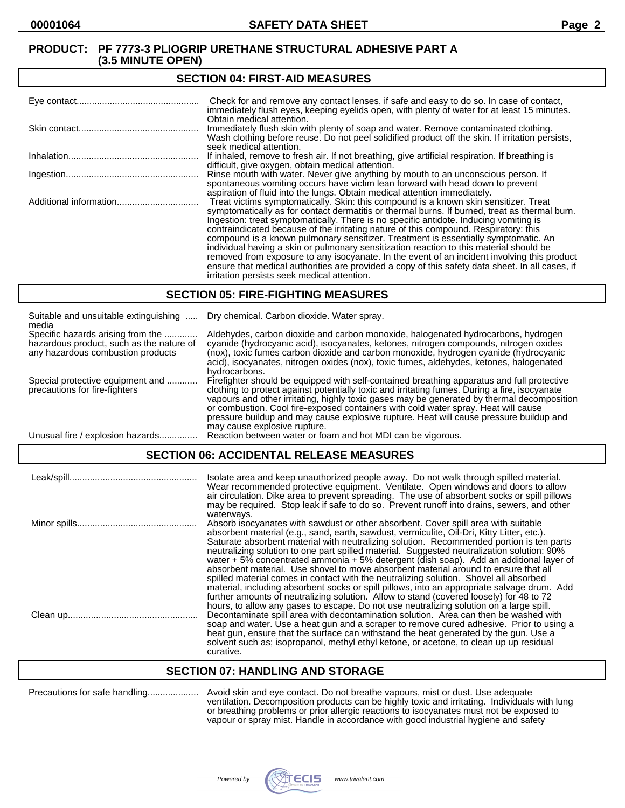#### **SECTION 04: FIRST-AID MEASURES**

| Check for and remove any contact lenses, if safe and easy to do so. In case of contact,<br>immediately flush eyes, keeping eyelids open, with plenty of water for at least 15 minutes.                                                                                                                                                                                                                                                                                                                                                                                                                                                                                                                                                                                                                   |
|----------------------------------------------------------------------------------------------------------------------------------------------------------------------------------------------------------------------------------------------------------------------------------------------------------------------------------------------------------------------------------------------------------------------------------------------------------------------------------------------------------------------------------------------------------------------------------------------------------------------------------------------------------------------------------------------------------------------------------------------------------------------------------------------------------|
| Obtain medical attention.<br>Immediately flush skin with plenty of soap and water. Remove contaminated clothing.<br>Wash clothing before reuse. Do not peel solidified product off the skin. If irritation persists,<br>seek medical attention.                                                                                                                                                                                                                                                                                                                                                                                                                                                                                                                                                          |
| If inhaled, remove to fresh air. If not breathing, give artificial respiration. If breathing is<br>difficult, give oxygen, obtain medical attention.                                                                                                                                                                                                                                                                                                                                                                                                                                                                                                                                                                                                                                                     |
| Rinse mouth with water. Never give anything by mouth to an unconscious person. If<br>spontaneous vomiting occurs have victim lean forward with head down to prevent<br>aspiration of fluid into the lungs. Obtain medical attention immediately.                                                                                                                                                                                                                                                                                                                                                                                                                                                                                                                                                         |
| Treat victims symptomatically. Skin: this compound is a known skin sensitizer. Treat<br>symptomatically as for contact dermatitis or thermal burns. If burned, treat as thermal burn.<br>Ingestion: treat symptomatically. There is no specific antidote. Inducing vomiting is<br>contraindicated because of the irritating nature of this compound. Respiratory: this<br>compound is a known pulmonary sensitizer. Treatment is essentially symptomatic. An<br>individual having a skin or pulmonary sensitization reaction to this material should be<br>removed from exposure to any isocyanate. In the event of an incident involving this product<br>ensure that medical authorities are provided a copy of this safety data sheet. In all cases, if<br>irritation persists seek medical attention. |

## **SECTION 05: FIRE-FIGHTING MEASURES**

| Suitable and unsuitable extinguishing<br>media                                                                     | Dry chemical. Carbon dioxide. Water spray.                                                                                                                                                                                                                                                                                                                                                                                                                                                                |
|--------------------------------------------------------------------------------------------------------------------|-----------------------------------------------------------------------------------------------------------------------------------------------------------------------------------------------------------------------------------------------------------------------------------------------------------------------------------------------------------------------------------------------------------------------------------------------------------------------------------------------------------|
| Specific hazards arising from the<br>hazardous product, such as the nature of<br>any hazardous combustion products | Aldehydes, carbon dioxide and carbon monoxide, halogenated hydrocarbons, hydrogen<br>cyanide (hydrocyanic acid), isocyanates, ketones, nitrogen compounds, nitrogen oxides<br>(nox), toxic fumes carbon dioxide and carbon monoxide, hydrogen cyanide (hydrocyanic<br>acid), isocyanates, nitrogen oxides (nox), toxic fumes, aldehydes, ketones, halogenated<br>hydrocarbons.                                                                                                                            |
| Special protective equipment and<br>precautions for fire-fighters                                                  | Firefighter should be equipped with self-contained breathing apparatus and full protective<br>clothing to protect against potentially toxic and irritating fumes. During a fire, isocyanate<br>vapours and other irritating, highly toxic gases may be generated by thermal decomposition<br>or combustion. Cool fire-exposed containers with cold water spray. Heat will cause<br>pressure buildup and may cause explosive rupture. Heat will cause pressure buildup and<br>may cause explosive rupture. |
| Unusual fire / explosion hazards.                                                                                  | Reaction between water or foam and hot MDI can be vigorous.                                                                                                                                                                                                                                                                                                                                                                                                                                               |

## **SECTION 06: ACCIDENTAL RELEASE MEASURES**

| Isolate area and keep unauthorized people away. Do not walk through spilled material.<br>Wear recommended protective equipment. Ventilate. Open windows and doors to allow<br>air circulation. Dike area to prevent spreading. The use of absorbent socks or spill pillows<br>may be required. Stop leak if safe to do so. Prevent runoff into drains, sewers, and other                                                                                                                                                                                                                                                                                                                                                                                     |
|--------------------------------------------------------------------------------------------------------------------------------------------------------------------------------------------------------------------------------------------------------------------------------------------------------------------------------------------------------------------------------------------------------------------------------------------------------------------------------------------------------------------------------------------------------------------------------------------------------------------------------------------------------------------------------------------------------------------------------------------------------------|
| waterways.<br>Absorb isocyanates with sawdust or other absorbent. Cover spill area with suitable<br>absorbent material (e.g., sand, earth, sawdust, vermiculite, Oil-Dri, Kitty Litter, etc.).<br>Saturate absorbent material with neutralizing solution. Recommended portion is ten parts<br>neutralizing solution to one part spilled material. Suggested neutralization solution: 90%<br>water + 5% concentrated ammonia + 5% detergent (dish soap). Add an additional layer of<br>absorbent material. Use shovel to move absorbent material around to ensure that all                                                                                                                                                                                    |
| spilled material comes in contact with the neutralizing solution. Shovel all absorbed<br>material, including absorbent socks or spill pillows, into an appropriate salvage drum. Add<br>further amounts of neutralizing solution. Allow to stand (covered loosely) for 48 to 72<br>hours, to allow any gases to escape. Do not use neutralizing solution on a large spill.<br>Decontaminate spill area with decontamination solution. Area can then be washed with<br>soap and water. Use a heat gun and a scraper to remove cured adhesive. Prior to using a<br>heat gun, ensure that the surface can withstand the heat generated by the gun. Use a<br>solvent such as; isopropanol, methyl ethyl ketone, or acetone, to clean up up residual<br>curative. |

## **SECTION 07: HANDLING AND STORAGE**

| Precautions for safe handling | Α |
|-------------------------------|---|
|-------------------------------|---|

Precautions for safe handling.................... Avoid skin and eye contact. Do not breathe vapours, mist or dust. Use adequate ventilation. Decomposition products can be highly toxic and irritating. Individuals with lung or breathing problems or prior allergic reactions to isocyanates must not be exposed to vapour or spray mist. Handle in accordance with good industrial hygiene and safety

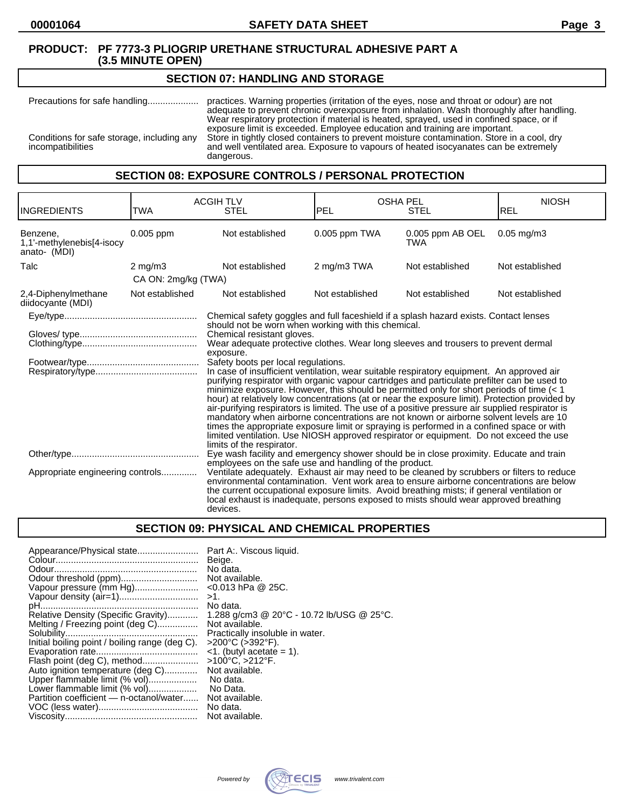## **SECTION 07: HANDLING AND STORAGE**

Precautions for safe handling.................... practices. Warning properties (irritation of the eyes, nose and throat or odour) are not adequate to prevent chronic overexposure from inhalation. Wash thoroughly after handling. Wear respiratory protection if material is heated, sprayed, used in confined space, or if exposure limit is exceeded. Employee education and training are important. Conditions for safe storage, including any Store in tightly closed containers to prevent moisture contamination. Store in a cool, dry incompatibilities and well ventilated area. Exposure to vapours of heated isocyanates can be extremely dangerous.

## **SECTION 08: EXPOSURE CONTROLS / PERSONAL PROTECTION**

| <b>INGREDIENTS</b>                                    | <b>ACGIH TLV</b><br><b>STEL</b><br>TWA |                                                                                                                                                                                                                                                                                                                                                                                                                                                                                                                                                                                                                                                                                                                                                                                                                                                                                                                                                                                                                                         | <b>OSHA PEL</b><br>IPEL<br><b>STEL</b> |                         | <b>NIOSH</b><br><b>REL</b> |
|-------------------------------------------------------|----------------------------------------|-----------------------------------------------------------------------------------------------------------------------------------------------------------------------------------------------------------------------------------------------------------------------------------------------------------------------------------------------------------------------------------------------------------------------------------------------------------------------------------------------------------------------------------------------------------------------------------------------------------------------------------------------------------------------------------------------------------------------------------------------------------------------------------------------------------------------------------------------------------------------------------------------------------------------------------------------------------------------------------------------------------------------------------------|----------------------------------------|-------------------------|----------------------------|
| Benzene,<br>1,1'-methylenebis[4-isocy<br>anato- (MDI) | 0.005 ppm                              | Not established                                                                                                                                                                                                                                                                                                                                                                                                                                                                                                                                                                                                                                                                                                                                                                                                                                                                                                                                                                                                                         | 0.005 ppm TWA                          | 0.005 ppm AB OEL<br>TWA | $0.05$ mg/m $3$            |
| Talc                                                  | $2 \text{ mg/m}$                       | Not established                                                                                                                                                                                                                                                                                                                                                                                                                                                                                                                                                                                                                                                                                                                                                                                                                                                                                                                                                                                                                         | 2 mg/m3 TWA                            | Not established         | Not established            |
|                                                       | CA ON: 2mg/kg (TWA)                    |                                                                                                                                                                                                                                                                                                                                                                                                                                                                                                                                                                                                                                                                                                                                                                                                                                                                                                                                                                                                                                         |                                        |                         |                            |
| 2,4-Diphenylmethane<br>diidocyante (MDI)              | Not established                        | Not established                                                                                                                                                                                                                                                                                                                                                                                                                                                                                                                                                                                                                                                                                                                                                                                                                                                                                                                                                                                                                         | Not established                        | Not established         | Not established            |
|                                                       |                                        | Chemical safety goggles and full faceshield if a splash hazard exists. Contact lenses                                                                                                                                                                                                                                                                                                                                                                                                                                                                                                                                                                                                                                                                                                                                                                                                                                                                                                                                                   |                                        |                         |                            |
|                                                       |                                        | should not be worn when working with this chemical.<br>Chemical resistant gloves.<br>Wear adequate protective clothes. Wear long sleeves and trousers to prevent dermal<br>exposure.<br>Safety boots per local regulations.<br>In case of insufficient ventilation, wear suitable respiratory equipment. An approved air<br>purifying respirator with organic vapour cartridges and particulate prefilter can be used to<br>minimize exposure. However, this should be permitted only for short periods of time (< 1<br>hour) at relatively low concentrations (at or near the exposure limit). Protection provided by<br>air-purifying respirators is limited. The use of a positive pressure air supplied respirator is<br>mandatory when airborne concentrations are not known or airborne solvent levels are 10<br>times the appropriate exposure limit or spraying is performed in a confined space or with<br>limited ventilation. Use NIOSH approved respirator or equipment. Do not exceed the use<br>limits of the respirator. |                                        |                         |                            |
| Appropriate engineering controls                      |                                        | Eye wash facility and emergency shower should be in close proximity. Educate and train<br>employees on the safe use and handling of the product.<br>Ventilate adequately. Exhaust air may need to be cleaned by scrubbers or filters to reduce<br>environmental contamination. Vent work area to ensure airborne concentrations are below<br>the current occupational exposure limits. Avoid breathing mists; if general ventilation or<br>local exhaust is inadequate, persons exposed to mists should wear approved breathing<br>devices.                                                                                                                                                                                                                                                                                                                                                                                                                                                                                             |                                        |                         |                            |

# **SECTION 09: PHYSICAL AND CHEMICAL PROPERTIES**

| Appearance/Physical state                      | Part A:. Viscous liquid.<br>Beige.        |
|------------------------------------------------|-------------------------------------------|
|                                                | No data.                                  |
|                                                | Not available.                            |
| Vapour pressure (mm Hg)                        | $<$ 0.013 hPa @ 25C.                      |
|                                                | $>1$ .                                    |
|                                                | No data.                                  |
| Relative Density (Specific Gravity)            | 1.288 g/cm3 @ 20°C - 10.72 lb/USG @ 25°C. |
| Melting / Freezing point (deg C)               | Not available.                            |
|                                                | Practically insoluble in water.           |
| Initial boiling point / boiling range (deg C). | >200°C (>392°F).                          |
|                                                | $\leq$ 1. (butyl acetate = 1).            |
| Flash point (deg C), method                    | >100°C, >212°F.                           |
| Auto ignition temperature (deg C)              | Not available.                            |
| Upper flammable limit (% vol)                  | No data.                                  |
| Lower flammable limit (% vol)                  | No Data.                                  |
| Partition coefficient — n-octanol/water        | Not available.                            |
|                                                | No data.                                  |
|                                                | Not available.                            |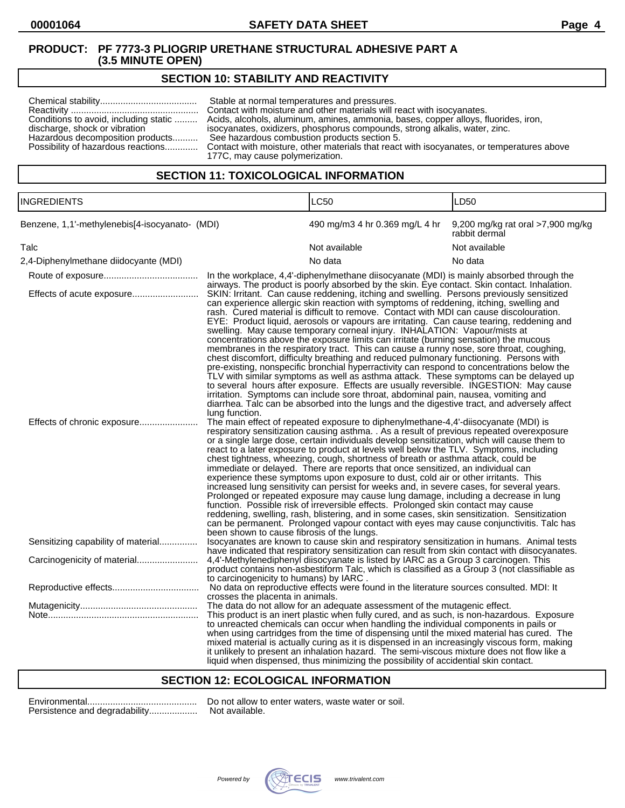# **SECTION 10: STABILITY AND REACTIVITY**

| Conditions to avoid, including static<br>discharge, shock or vibration<br>Hazardous decomposition products | Stable at normal temperatures and pressures.<br>Contact with moisture and other materials will react with isocyanates.<br>Acids, alcohols, aluminum, amines, ammonia, bases, copper alloys, fluorides, iron,<br>isocyanates, oxidizers, phosphorus compounds, strong alkalis, water, zinc.<br>See hazardous combustion products section 5.<br>Possibility of hazardous reactions Contact with moisture, other materials that react with isocyanates, or temperatures above<br>177C, may cause polymerization. |
|------------------------------------------------------------------------------------------------------------|---------------------------------------------------------------------------------------------------------------------------------------------------------------------------------------------------------------------------------------------------------------------------------------------------------------------------------------------------------------------------------------------------------------------------------------------------------------------------------------------------------------|
|------------------------------------------------------------------------------------------------------------|---------------------------------------------------------------------------------------------------------------------------------------------------------------------------------------------------------------------------------------------------------------------------------------------------------------------------------------------------------------------------------------------------------------------------------------------------------------------------------------------------------------|

# **SECTION 11: TOXICOLOGICAL INFORMATION**

| <b>INGREDIENTS</b><br>Benzene, 1,1'-methylenebis[4-isocyanato- (MDI) |                                                                                                                                                                                                                                                                                                                                                                                                                                                                                                                                                                                                                                                                                                                                                                                                                                                                                                                                                                                                                                                                                                                                                                                                                             | <b>LC50</b>                                                                                                                                                                                                                                                                                                                                                                                                                                                                                                                                                          | LD50                                               |  |
|----------------------------------------------------------------------|-----------------------------------------------------------------------------------------------------------------------------------------------------------------------------------------------------------------------------------------------------------------------------------------------------------------------------------------------------------------------------------------------------------------------------------------------------------------------------------------------------------------------------------------------------------------------------------------------------------------------------------------------------------------------------------------------------------------------------------------------------------------------------------------------------------------------------------------------------------------------------------------------------------------------------------------------------------------------------------------------------------------------------------------------------------------------------------------------------------------------------------------------------------------------------------------------------------------------------|----------------------------------------------------------------------------------------------------------------------------------------------------------------------------------------------------------------------------------------------------------------------------------------------------------------------------------------------------------------------------------------------------------------------------------------------------------------------------------------------------------------------------------------------------------------------|----------------------------------------------------|--|
|                                                                      |                                                                                                                                                                                                                                                                                                                                                                                                                                                                                                                                                                                                                                                                                                                                                                                                                                                                                                                                                                                                                                                                                                                                                                                                                             | 490 mg/m3 4 hr 0.369 mg/L 4 hr                                                                                                                                                                                                                                                                                                                                                                                                                                                                                                                                       | 9,200 mg/kg rat oral >7,900 mg/kg<br>rabbit dermal |  |
| Talc                                                                 |                                                                                                                                                                                                                                                                                                                                                                                                                                                                                                                                                                                                                                                                                                                                                                                                                                                                                                                                                                                                                                                                                                                                                                                                                             | Not available                                                                                                                                                                                                                                                                                                                                                                                                                                                                                                                                                        | Not available                                      |  |
| 2,4-Diphenylmethane diidocyante (MDI)                                |                                                                                                                                                                                                                                                                                                                                                                                                                                                                                                                                                                                                                                                                                                                                                                                                                                                                                                                                                                                                                                                                                                                                                                                                                             | No data                                                                                                                                                                                                                                                                                                                                                                                                                                                                                                                                                              | No data                                            |  |
|                                                                      |                                                                                                                                                                                                                                                                                                                                                                                                                                                                                                                                                                                                                                                                                                                                                                                                                                                                                                                                                                                                                                                                                                                                                                                                                             | In the workplace, 4,4'-diphenylmethane diisocyanate (MDI) is mainly absorbed through the<br>airways. The product is poorly absorbed by the skin. Eye contact. Skin contact. Inhalation.                                                                                                                                                                                                                                                                                                                                                                              |                                                    |  |
| Effects of acute exposure                                            | SKIN: Irritant. Can cause reddening, itching and swelling. Persons previously sensitized<br>can experience allergic skin reaction with symptoms of reddening, itching, swelling and<br>rash. Cured material is difficult to remove. Contact with MDI can cause discolouration.<br>EYE: Product liquid, aerosols or vapours are irritating. Can cause tearing, reddening and<br>swelling. May cause temporary corneal injury. INHALATION: Vapour/mists at<br>concentrations above the exposure limits can irritate (burning sensation) the mucous<br>membranes in the respiratory tract. This can cause a runny nose, sore throat, coughing,<br>chest discomfort, difficulty breathing and reduced pulmonary functioning. Persons with<br>pre-existing, nonspecific bronchial hyperractivity can respond to concentrations below the<br>TLV with similar symptoms as well as asthma attack. These symptoms can be delayed up<br>to several hours after exposure. Effects are usually reversible. INGESTION: May cause<br>irritation. Symptoms can include sore throat, abdominal pain, nausea, vomiting and<br>diarrhea. Talc can be absorbed into the lungs and the digestive tract, and adversely affect<br>lung function. |                                                                                                                                                                                                                                                                                                                                                                                                                                                                                                                                                                      |                                                    |  |
| Effects of chronic exposure                                          | The main effect of repeated exposure to diphenylmethane-4,4'-diisocyanate (MDI) is<br>respiratory sensitization causing asthma. . As a result of previous repeated overexposure<br>or a single large dose, certain individuals develop sensitization, which will cause them to<br>react to a later exposure to product at levels well below the TLV. Symptoms, including<br>chest tightness, wheezing, cough, shortness of breath or asthma attack, could be<br>immediate or delayed. There are reports that once sensitized, an individual can<br>experience these symptoms upon exposure to dust, cold air or other irritants. This<br>increased lung sensitivity can persist for weeks and, in severe cases, for several years.<br>Prolonged or repeated exposure may cause lung damage, including a decrease in lung<br>function. Possible risk of irreversible effects. Prolonged skin contact may cause<br>reddening, swelling, rash, blistering, and in some cases, skin sensitization. Sensitization<br>can be permanent. Prolonged vapour contact with eyes may cause conjunctivitis. Talc has<br>been shown to cause fibrosis of the lungs.                                                                       |                                                                                                                                                                                                                                                                                                                                                                                                                                                                                                                                                                      |                                                    |  |
| Sensitizing capability of material                                   | Isocyanates are known to cause skin and respiratory sensitization in humans. Animal tests<br>have indicated that respiratory sensitization can result from skin contact with diisocyanates.                                                                                                                                                                                                                                                                                                                                                                                                                                                                                                                                                                                                                                                                                                                                                                                                                                                                                                                                                                                                                                 |                                                                                                                                                                                                                                                                                                                                                                                                                                                                                                                                                                      |                                                    |  |
|                                                                      | 4,4'-Methylenediphenyl diisocyanate is listed by IARC as a Group 3 carcinogen. This<br>product contains non-asbestiform Talc, which is classified as a Group 3 (not classifiable as<br>to carcinogenicity to humans) by IARC.                                                                                                                                                                                                                                                                                                                                                                                                                                                                                                                                                                                                                                                                                                                                                                                                                                                                                                                                                                                               |                                                                                                                                                                                                                                                                                                                                                                                                                                                                                                                                                                      |                                                    |  |
|                                                                      | crosses the placenta in animals.                                                                                                                                                                                                                                                                                                                                                                                                                                                                                                                                                                                                                                                                                                                                                                                                                                                                                                                                                                                                                                                                                                                                                                                            | No data on reproductive effects were found in the literature sources consulted. MDI: It                                                                                                                                                                                                                                                                                                                                                                                                                                                                              |                                                    |  |
|                                                                      |                                                                                                                                                                                                                                                                                                                                                                                                                                                                                                                                                                                                                                                                                                                                                                                                                                                                                                                                                                                                                                                                                                                                                                                                                             | The data do not allow for an adequate assessment of the mutagenic effect.                                                                                                                                                                                                                                                                                                                                                                                                                                                                                            |                                                    |  |
|                                                                      |                                                                                                                                                                                                                                                                                                                                                                                                                                                                                                                                                                                                                                                                                                                                                                                                                                                                                                                                                                                                                                                                                                                                                                                                                             | This product is an inert plastic when fully cured, and as such, is non-hazardous. Exposure<br>to unreacted chemicals can occur when handling the individual components in pails or<br>when using cartridges from the time of dispensing until the mixed material has cured. The<br>mixed material is actually curing as it is dispensed in an increasingly viscous form, making<br>it unlikely to present an inhalation hazard. The semi-viscous mixture does not flow like a<br>liquid when dispensed, thus minimizing the possibility of accidential skin contact. |                                                    |  |

## **SECTION 12: ECOLOGICAL INFORMATION**

| Persistence and degradability |
|-------------------------------|

Environmental........................................... Do not allow to enter waters, waste water or soil. ..... Not available.

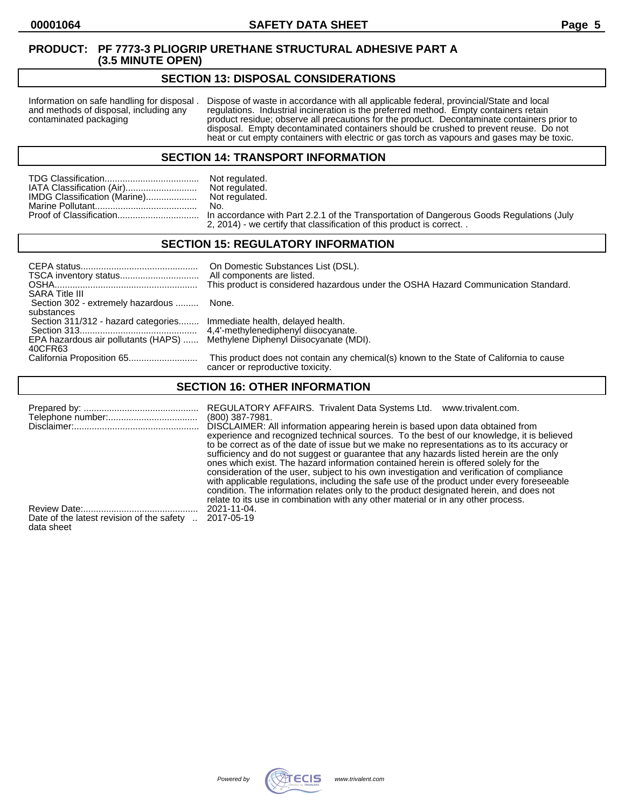## **SECTION 13: DISPOSAL CONSIDERATIONS**

Information on safe handling for disposal . Dispose of waste in accordance with all applicable federal, provincial/State and local and methods of disposal, including any regulations. Industrial incineration is the preferre and methods of disposal, including any regulations. Industrial incineration is the preferred method. Empty containers retain<br>contaminated packaging product residue; observe all precautions for the product. Decontaminate co product residue; observe all precautions for the product. Decontaminate containers prior to disposal. Empty decontaminated containers should be crushed to prevent reuse. Do not heat or cut empty containers with electric or gas torch as vapours and gases may be toxic.

## **SECTION 14: TRANSPORT INFORMATION**

|                              | Not regulated. |
|------------------------------|----------------|
| IATA Classification (Air)    | Not regulated. |
| IMDG Classification (Marine) | Not regulated. |
|                              | No.            |
|                              |                |

Not regulated.<br>No. n accordance with Part 2.2.1 of the Transportation of Dangerous Goods Regulations (July 2, 2014) - we certify that classification of this product is correct. .

## **SECTION 15: REGULATORY INFORMATION**

| <b>SARA Title III</b>                                                                  | On Domestic Substances List (DSL).<br>All components are listed.<br>This product is considered hazardous under the OSHA Hazard Communication Standard. |
|----------------------------------------------------------------------------------------|--------------------------------------------------------------------------------------------------------------------------------------------------------|
| Section 302 - extremely hazardous                                                      | None.                                                                                                                                                  |
| substances<br>Section 311/312 - hazard categories Immediate health, delayed health.    |                                                                                                                                                        |
| EPA hazardous air pollutants (HAPS)  Methylene Diphenyl Diisocyanate (MDI).<br>40CFR63 |                                                                                                                                                        |
|                                                                                        | This product does not contain any chemical(s) known to the State of California to cause<br>cancer or reproductive toxicity.                            |

# **SECTION 16: OTHER INFORMATION**

|                                           | REGULATORY AFFAIRS. Trivalent Data Systems Ltd.<br>www.trivalent.com.<br>$(800)$ 387-7981.<br>DISCLAIMER: All information appearing herein is based upon data obtained from<br>experience and recognized technical sources. To the best of our knowledge, it is believed<br>to be correct as of the date of issue but we make no representations as to its accuracy or<br>sufficiency and do not suggest or guarantee that any hazards listed herein are the only<br>ones which exist. The hazard information contained herein is offered solely for the<br>consideration of the user, subject to his own investigation and verification of compliance<br>with applicable regulations, including the safe use of the product under every foreseeable<br>condition. The information relates only to the product designated herein, and does not |
|-------------------------------------------|------------------------------------------------------------------------------------------------------------------------------------------------------------------------------------------------------------------------------------------------------------------------------------------------------------------------------------------------------------------------------------------------------------------------------------------------------------------------------------------------------------------------------------------------------------------------------------------------------------------------------------------------------------------------------------------------------------------------------------------------------------------------------------------------------------------------------------------------|
|                                           | relate to its use in combination with any other material or in any other process.                                                                                                                                                                                                                                                                                                                                                                                                                                                                                                                                                                                                                                                                                                                                                              |
| Date of the latest revision of the safety | 2021-11-04.                                                                                                                                                                                                                                                                                                                                                                                                                                                                                                                                                                                                                                                                                                                                                                                                                                    |
| data sheet                                | 2017-05-19                                                                                                                                                                                                                                                                                                                                                                                                                                                                                                                                                                                                                                                                                                                                                                                                                                     |

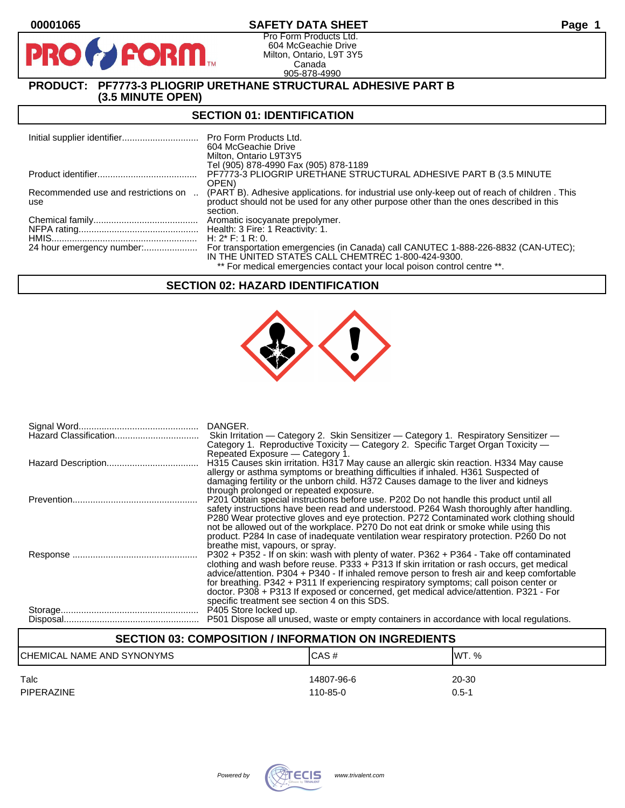# **00001065 SAFETY DATA SHEET Page 1**

Pro Form Products Ltd. 604 McGeachie Drive Milton, Ontario, L9T 3Y5 Canada 905-878-4990

# **PRODUCT: PF7773-3 PLIOGRIP URETHANE STRUCTURAL ADHESIVE PART B (3.5 MINUTE OPEN)**

**PORM** 

# **SECTION 01: IDENTIFICATION**

|                                            | Pro Form Products Ltd.<br>604 McGeachie Drive<br>Milton, Ontario L9T3Y5                                                                                                                            |
|--------------------------------------------|----------------------------------------------------------------------------------------------------------------------------------------------------------------------------------------------------|
|                                            | Tel (905) 878-4990 Fax (905) 878-1189                                                                                                                                                              |
|                                            | PF7773-3 PLIOGRIP URETHANE STRUCTURAL ADHESIVE PART B (3.5 MINUTE<br>OPEN)                                                                                                                         |
| Recommended use and restrictions on<br>use | (PART B). Adhesive applications, for industrial use only-keep out of reach of children. This<br>product should not be used for any other purpose other than the ones described in this<br>section. |
|                                            |                                                                                                                                                                                                    |
|                                            | Health: 3 Fire: 1 Reactivity: 1.                                                                                                                                                                   |
|                                            | H: $2^*$ F: 1 R: 0.                                                                                                                                                                                |
|                                            | For transportation emergencies (in Canada) call CANUTEC 1-888-226-8832 (CAN-UTEC);<br>IN THE UNITED STATES CALL CHEMTREC 1-800-424-9300.                                                           |
|                                            | ** For medical emergencies contact your local poison control centre **.                                                                                                                            |

## **SECTION 02: HAZARD IDENTIFICATION**



| DANGER.                                                                                                                                                                                  |
|------------------------------------------------------------------------------------------------------------------------------------------------------------------------------------------|
| Skin Irritation — Category 2. Skin Sensitizer — Category 1. Respiratory Sensitizer —                                                                                                     |
| Category 1. Reproductive Toxicity — Category 2. Specific Target Organ Toxicity —                                                                                                         |
| Repeated Exposure – Category 1.                                                                                                                                                          |
| H315 Causes skin irritation. H317 May cause an allergic skin reaction. H334 May cause                                                                                                    |
| allergy or asthma symptoms or breathing difficulties if inhaled. H361 Suspected of                                                                                                       |
| damaging fertility or the unborn child. H372 Causes damage to the liver and kidneys                                                                                                      |
| through prolonged or repeated exposure.                                                                                                                                                  |
| P201 Obtain special instructions before use. P202 Do not handle this product until all                                                                                                   |
| safety instructions have been read and understood. P264 Wash thoroughly after handling.                                                                                                  |
| P280 Wear protective gloves and eye protection. P272 Contaminated work clothing should                                                                                                   |
| not be allowed out of the workplace. P270 Do not eat drink or smoke while using this                                                                                                     |
| product. P284 In case of inadequate ventilation wear respiratory protection. P260 Do not                                                                                                 |
| breathe mist, vapours, or spray.                                                                                                                                                         |
| P302 + P352 - If on skin: wash with plenty of water. P362 + P364 - Take off contaminated<br>clothing and wash before reuse. $P333 + P313$ If skin irritation or rash occurs, get medical |
| advice/attention. P304 + P340 - If inhaled remove person to fresh air and keep comfortable                                                                                               |
| for breathing. P342 + P311 If experiencing respiratory symptoms; call poison center or                                                                                                   |
| doctor. P308 + P313 If exposed or concerned, get medical advice/attention. P321 - For                                                                                                    |
| specific treatment see section 4 on this SDS.                                                                                                                                            |
| P405 Store locked up.                                                                                                                                                                    |
| P501 Dispose all unused, waste or empty containers in accordance with local regulations.                                                                                                 |
|                                                                                                                                                                                          |

# **SECTION 03: COMPOSITION / INFORMATION ON INGREDIENTS**

| <b>CHEMICAL NAME AND SYNONYMS</b> | CAS#       | IWT. %    |
|-----------------------------------|------------|-----------|
| Talc                              | 14807-96-6 | 20-30     |
| <b>PIPERAZINE</b>                 | 110-85-0   | $0.5 - 1$ |

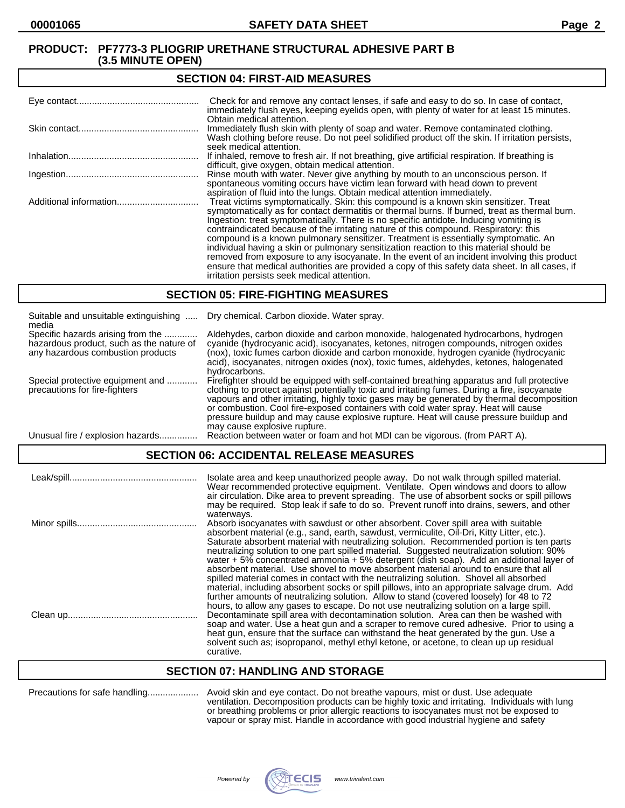#### **SECTION 04: FIRST-AID MEASURES**

| Check for and remove any contact lenses, if safe and easy to do so. In case of contact,<br>immediately flush eyes, keeping eyelids open, with plenty of water for at least 15 minutes.                                                                                                                                                                                                                                                                                                                                                                                                                                                                                                                                                                                                                   |
|----------------------------------------------------------------------------------------------------------------------------------------------------------------------------------------------------------------------------------------------------------------------------------------------------------------------------------------------------------------------------------------------------------------------------------------------------------------------------------------------------------------------------------------------------------------------------------------------------------------------------------------------------------------------------------------------------------------------------------------------------------------------------------------------------------|
| Obtain medical attention.<br>Immediately flush skin with plenty of soap and water. Remove contaminated clothing.<br>Wash clothing before reuse. Do not peel solidified product off the skin. If irritation persists,<br>seek medical attention.                                                                                                                                                                                                                                                                                                                                                                                                                                                                                                                                                          |
| If inhaled, remove to fresh air. If not breathing, give artificial respiration. If breathing is<br>difficult, give oxygen, obtain medical attention.                                                                                                                                                                                                                                                                                                                                                                                                                                                                                                                                                                                                                                                     |
| Rinse mouth with water. Never give anything by mouth to an unconscious person. If<br>spontaneous vomiting occurs have victim lean forward with head down to prevent<br>aspiration of fluid into the lungs. Obtain medical attention immediately.                                                                                                                                                                                                                                                                                                                                                                                                                                                                                                                                                         |
| Treat victims symptomatically. Skin: this compound is a known skin sensitizer. Treat<br>symptomatically as for contact dermatitis or thermal burns. If burned, treat as thermal burn.<br>Ingestion: treat symptomatically. There is no specific antidote. Inducing vomiting is<br>contraindicated because of the irritating nature of this compound. Respiratory: this<br>compound is a known pulmonary sensitizer. Treatment is essentially symptomatic. An<br>individual having a skin or pulmonary sensitization reaction to this material should be<br>removed from exposure to any isocyanate. In the event of an incident involving this product<br>ensure that medical authorities are provided a copy of this safety data sheet. In all cases, if<br>irritation persists seek medical attention. |

## **SECTION 05: FIRE-FIGHTING MEASURES**

| Suitable and unsuitable extinguishing<br>media                                                                     | Dry chemical. Carbon dioxide. Water spray.                                                                                                                                                                                                                                                                                                                                                                                                                                                                |
|--------------------------------------------------------------------------------------------------------------------|-----------------------------------------------------------------------------------------------------------------------------------------------------------------------------------------------------------------------------------------------------------------------------------------------------------------------------------------------------------------------------------------------------------------------------------------------------------------------------------------------------------|
| Specific hazards arising from the<br>hazardous product, such as the nature of<br>any hazardous combustion products | Aldehydes, carbon dioxide and carbon monoxide, halogenated hydrocarbons, hydrogen<br>cyanide (hydrocyanic acid), isocyanates, ketones, nitrogen compounds, nitrogen oxides<br>(nox), toxic fumes carbon dioxide and carbon monoxide, hydrogen cyanide (hydrocyanic<br>acid), isocyanates, nitrogen oxides (nox), toxic fumes, aldehydes, ketones, halogenated<br>hydrocarbons.                                                                                                                            |
| Special protective equipment and<br>precautions for fire-fighters                                                  | Firefighter should be equipped with self-contained breathing apparatus and full protective<br>clothing to protect against potentially toxic and irritating fumes. During a fire, isocyanate<br>vapours and other irritating, highly toxic gases may be generated by thermal decomposition<br>or combustion. Cool fire-exposed containers with cold water spray. Heat will cause<br>pressure buildup and may cause explosive rupture. Heat will cause pressure buildup and<br>may cause explosive rupture. |
| Unusual fire / explosion hazards                                                                                   | Reaction between water or foam and hot MDI can be vigorous. (from PART A).                                                                                                                                                                                                                                                                                                                                                                                                                                |

# **SECTION 06: ACCIDENTAL RELEASE MEASURES**

| Leak/spill | Isolate area and keep unauthorized people away. Do not walk through spilled material.<br>Wear recommended protective equipment. Ventilate. Open windows and doors to allow<br>air circulation. Dike area to prevent spreading. The use of absorbent socks or spill pillows<br>may be required. Stop leak if safe to do so. Prevent runoff into drains, sewers, and other                                                                                                                                                                                                                                                                                                                                                                                                                                                                                                                                                                                    |
|------------|-------------------------------------------------------------------------------------------------------------------------------------------------------------------------------------------------------------------------------------------------------------------------------------------------------------------------------------------------------------------------------------------------------------------------------------------------------------------------------------------------------------------------------------------------------------------------------------------------------------------------------------------------------------------------------------------------------------------------------------------------------------------------------------------------------------------------------------------------------------------------------------------------------------------------------------------------------------|
|            | waterways.<br>Absorb isocyanates with sawdust or other absorbent. Cover spill area with suitable<br>absorbent material (e.g., sand, earth, sawdust, vermiculite, Oil-Dri, Kitty Litter, etc.).<br>Saturate absorbent material with neutralizing solution. Recommended portion is ten parts<br>neutralizing solution to one part spilled material. Suggested neutralization solution: 90%<br>water $+5\%$ concentrated ammonia $+5\%$ detergent (dish soap). Add an additional layer of<br>absorbent material. Use shovel to move absorbent material around to ensure that all<br>spilled material comes in contact with the neutralizing solution. Shovel all absorbed<br>material, including absorbent socks or spill pillows, into an appropriate salvage drum. Add<br>further amounts of neutralizing solution. Allow to stand (covered loosely) for 48 to 72<br>hours, to allow any gases to escape. Do not use neutralizing solution on a large spill. |
|            | Decontaminate spill area with decontamination solution. Area can then be washed with<br>soap and water. Use a heat gun and a scraper to remove cured adhesive. Prior to using a<br>heat gun, ensure that the surface can withstand the heat generated by the gun. Use a<br>solvent such as: isopropanol, methyl ethyl ketone, or acetone, to clean up up residual<br>curative.                                                                                                                                                                                                                                                                                                                                                                                                                                                                                                                                                                              |

## **SECTION 07: HANDLING AND STORAGE**

Precautions for safe handling.................... Avoid skin and eye contact. Do not breathe vapours, mist or dust. Use adequate ventilation. Decomposition products can be highly toxic and irritating. Individuals with lung or breathing problems or prior allergic reactions to isocyanates must not be exposed to vapour or spray mist. Handle in accordance with good industrial hygiene and safety

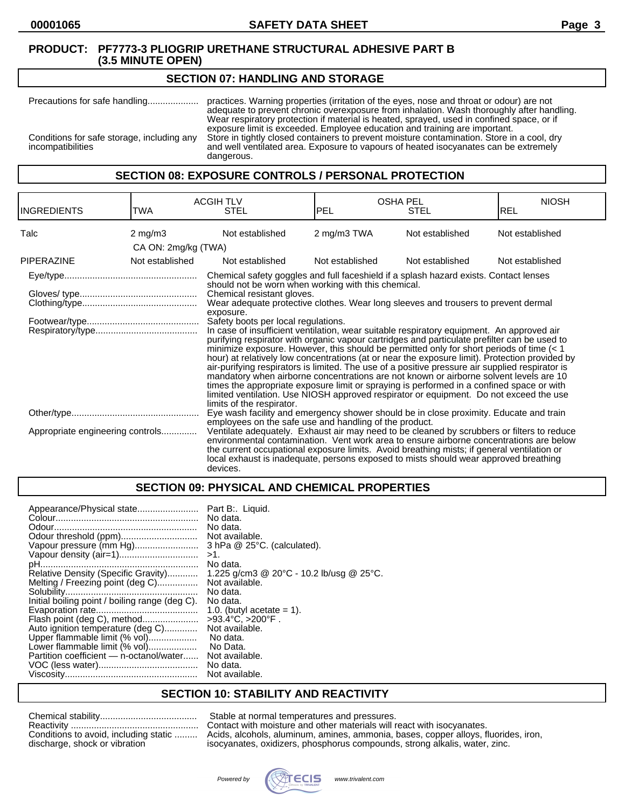## **SECTION 07: HANDLING AND STORAGE**

Precautions for safe handling.................... practices. Warning properties (irritation of the eyes, nose and throat or odour) are not adequate to prevent chronic overexposure from inhalation. Wash thoroughly after handling. Wear respiratory protection if material is heated, sprayed, used in confined space, or if exposure limit is exceeded. Employee education and training are important. Conditions for safe storage, including any<br>incompatibilities and well ventilated area. Exposure to vapours of heated isocyanates can be extremely<br>compatibilities and well ventilated area. Exposure to vapours of heated isocyanates can be extremely dangerous.

# **SECTION 08: EXPOSURE CONTROLS / PERSONAL PROTECTION**

| <b>INGREDIENTS</b>               | TWA                 | <b>ACGIH TLV</b><br><b>STEL</b>                                                                                                                                                                                                                                                                                                                                                                                                                                                                                                                                                                                                                                                                                                                                                                                                                                                                                                                                                                                                                                                                                                    | <b>OSHA PEL</b><br><b>PEL</b> | <b>STEL</b>     | <b>NIOSH</b><br><b>REL</b> |
|----------------------------------|---------------------|------------------------------------------------------------------------------------------------------------------------------------------------------------------------------------------------------------------------------------------------------------------------------------------------------------------------------------------------------------------------------------------------------------------------------------------------------------------------------------------------------------------------------------------------------------------------------------------------------------------------------------------------------------------------------------------------------------------------------------------------------------------------------------------------------------------------------------------------------------------------------------------------------------------------------------------------------------------------------------------------------------------------------------------------------------------------------------------------------------------------------------|-------------------------------|-----------------|----------------------------|
| Talc                             | $2 \text{ mg/m}$    | Not established                                                                                                                                                                                                                                                                                                                                                                                                                                                                                                                                                                                                                                                                                                                                                                                                                                                                                                                                                                                                                                                                                                                    | 2 mg/m3 TWA                   | Not established | Not established            |
|                                  | CA ON: 2mg/kg (TWA) |                                                                                                                                                                                                                                                                                                                                                                                                                                                                                                                                                                                                                                                                                                                                                                                                                                                                                                                                                                                                                                                                                                                                    |                               |                 |                            |
| <b>PIPERAZINE</b>                | Not established     | Not established                                                                                                                                                                                                                                                                                                                                                                                                                                                                                                                                                                                                                                                                                                                                                                                                                                                                                                                                                                                                                                                                                                                    | Not established               | Not established | Not established            |
|                                  |                     | Chemical safety goggles and full faceshield if a splash hazard exists. Contact lenses<br>should not be worn when working with this chemical.<br>Chemical resistant gloves.<br>Wear adequate protective clothes. Wear long sleeves and trousers to prevent dermal<br>exposure.<br>Safety boots per local regulations.<br>In case of insufficient ventilation, wear suitable respiratory equipment. An approved air<br>purifying respirator with organic vapour cartridges and particulate prefilter can be used to<br>minimize exposure. However, this should be permitted only for short periods of time $(< 1$<br>hour) at relatively low concentrations (at or near the exposure limit). Protection provided by<br>air-purifying respirators is limited. The use of a positive pressure air supplied respirator is<br>mandatory when airborne concentrations are not known or airborne solvent levels are 10<br>times the appropriate exposure limit or spraying is performed in a confined space or with<br>limited ventilation. Use NIOSH approved respirator or equipment. Do not exceed the use<br>limits of the respirator. |                               |                 |                            |
|                                  |                     | Eye wash facility and emergency shower should be in close proximity. Educate and train<br>employees on the safe use and handling of the product.                                                                                                                                                                                                                                                                                                                                                                                                                                                                                                                                                                                                                                                                                                                                                                                                                                                                                                                                                                                   |                               |                 |                            |
| Appropriate engineering controls |                     | Ventilate adequately. Exhaust air may need to be cleaned by scrubbers or filters to reduce<br>environmental contamination. Vent work area to ensure airborne concentrations are below<br>the current occupational exposure limits. Avoid breathing mists; if general ventilation or<br>local exhaust is inadequate, persons exposed to mists should wear approved breathing<br>devices.                                                                                                                                                                                                                                                                                                                                                                                                                                                                                                                                                                                                                                                                                                                                            |                               |                 |                            |

# **SECTION 09: PHYSICAL AND CHEMICAL PROPERTIES**

| Appearance/Physical state                      | Part B:. Liquid.                         |
|------------------------------------------------|------------------------------------------|
|                                                | No data.                                 |
|                                                | No data.                                 |
| Odour threshold (ppm)                          | Not available.                           |
| Vapour pressure (mm Hg)                        | 3 hPa @ 25°C. (calculated).              |
|                                                | >1.                                      |
|                                                | No data.                                 |
| Relative Density (Specific Gravity)            | 1.225 g/cm3 @ 20°C - 10.2 lb/usg @ 25°C. |
| Melting / Freezing point (deg C)               | Not available.                           |
|                                                | No data.                                 |
| Initial boiling point / boiling range (deg C). | No data.                                 |
|                                                | 1.0. (butyl acetate $= 1$ ).             |
| Flash point (deg C), method                    | $>93.4^{\circ}C$ , $>200^{\circ}F$ .     |
| Auto ignition temperature (deg C)              | Not available.                           |
| Upper flammable limit (% vol)                  | No data.                                 |
| Lower flammable limit (% vol)                  | No Data.                                 |
| Partition coefficient — n-octanol/water        | Not available.                           |
|                                                | No data.                                 |
|                                                | Not available.                           |
|                                                |                                          |

## **SECTION 10: STABILITY AND REACTIVITY**

| Conditions to avoid, including static |
|---------------------------------------|
| discharge, shock or vibration         |

Stable at normal temperatures and pressures. Contact with moisture and other materials will react with isocyanates. Acids, alcohols, aluminum, amines, ammonia, bases, copper alloys, fluorides, iron, isocyanates, oxidizers, phosphorus compounds, strong alkalis, water, zinc.

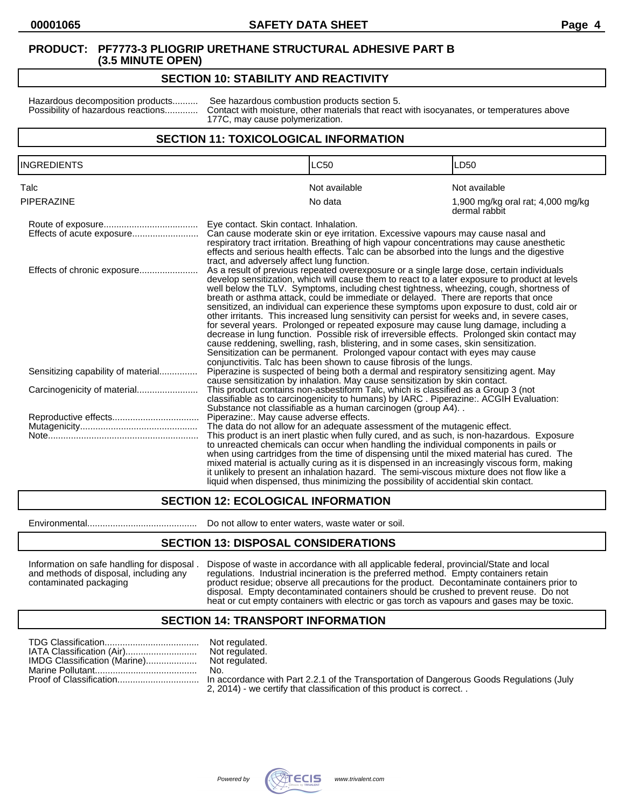# **SECTION 10: STABILITY AND REACTIVITY**

Hazardous decomposition products.......... See hazardous combustion products section 5.<br>Possibility of hazardous reactions............. Contact with moisture, other materials that reaction Contact with moisture, other materials that react with isocyanates, or temperatures above 177C, may cause polymerization.

# **SECTION 11: TOXICOLOGICAL INFORMATION**

| <b>INGREDIENTS</b>                 |                                                                                                                                                                                                                                                                                                                                                                                                                                                                                                                                                                                                                                                                                                                                                                                                                                                                                                                                                                                                                                                                | <b>LC50</b>                                                                                                                                                                                                                                                                                                                                                                                                                                                                                                                                                          | LD <sub>50</sub>                                   |
|------------------------------------|----------------------------------------------------------------------------------------------------------------------------------------------------------------------------------------------------------------------------------------------------------------------------------------------------------------------------------------------------------------------------------------------------------------------------------------------------------------------------------------------------------------------------------------------------------------------------------------------------------------------------------------------------------------------------------------------------------------------------------------------------------------------------------------------------------------------------------------------------------------------------------------------------------------------------------------------------------------------------------------------------------------------------------------------------------------|----------------------------------------------------------------------------------------------------------------------------------------------------------------------------------------------------------------------------------------------------------------------------------------------------------------------------------------------------------------------------------------------------------------------------------------------------------------------------------------------------------------------------------------------------------------------|----------------------------------------------------|
| Talc                               |                                                                                                                                                                                                                                                                                                                                                                                                                                                                                                                                                                                                                                                                                                                                                                                                                                                                                                                                                                                                                                                                | Not available                                                                                                                                                                                                                                                                                                                                                                                                                                                                                                                                                        | Not available                                      |
| <b>PIPERAZINE</b>                  |                                                                                                                                                                                                                                                                                                                                                                                                                                                                                                                                                                                                                                                                                                                                                                                                                                                                                                                                                                                                                                                                | No data                                                                                                                                                                                                                                                                                                                                                                                                                                                                                                                                                              | 1,900 mg/kg oral rat; 4,000 mg/kg<br>dermal rabbit |
| Effects of acute exposure          | Eye contact. Skin contact. Inhalation.                                                                                                                                                                                                                                                                                                                                                                                                                                                                                                                                                                                                                                                                                                                                                                                                                                                                                                                                                                                                                         | Can cause moderate skin or eye irritation. Excessive vapours may cause nasal and<br>respiratory tract irritation. Breathing of high vapour concentrations may cause anesthetic<br>effects and serious health effects. Talc can be absorbed into the lungs and the digestive                                                                                                                                                                                                                                                                                          |                                                    |
| Effects of chronic exposure        | tract, and adversely affect lung function.<br>As a result of previous repeated overexposure or a single large dose, certain individuals<br>develop sensitization, which will cause them to react to a later exposure to product at levels<br>well below the TLV. Symptoms, including chest tightness, wheezing, cough, shortness of<br>breath or asthma attack, could be immediate or delayed. There are reports that once<br>sensitized, an individual can experience these symptoms upon exposure to dust, cold air or<br>other irritants. This increased lung sensitivity can persist for weeks and, in severe cases,<br>for several years. Prolonged or repeated exposure may cause lung damage, including a<br>decrease in lung function. Possible risk of irreversible effects. Prolonged skin contact may<br>cause reddening, swelling, rash, blistering, and in some cases, skin sensitization.<br>Sensitization can be permanent. Prolonged vapour contact with eyes may cause<br>conjunctivitis. Talc has been shown to cause fibrosis of the lungs. |                                                                                                                                                                                                                                                                                                                                                                                                                                                                                                                                                                      |                                                    |
| Sensitizing capability of material |                                                                                                                                                                                                                                                                                                                                                                                                                                                                                                                                                                                                                                                                                                                                                                                                                                                                                                                                                                                                                                                                | Piperazine is suspected of being both a dermal and respiratory sensitizing agent. May<br>cause sensitization by inhalation. May cause sensitization by skin contact.                                                                                                                                                                                                                                                                                                                                                                                                 |                                                    |
|                                    |                                                                                                                                                                                                                                                                                                                                                                                                                                                                                                                                                                                                                                                                                                                                                                                                                                                                                                                                                                                                                                                                | This product contains non-asbestiform Talc, which is classified as a Group 3 (not<br>classifiable as to carcinogenicity to humans) by IARC. Piperazine:. ACGIH Evaluation:<br>Substance not classifiable as a human carcinogen (group A4)                                                                                                                                                                                                                                                                                                                            |                                                    |
|                                    | Piperazine:. May cause adverse effects.                                                                                                                                                                                                                                                                                                                                                                                                                                                                                                                                                                                                                                                                                                                                                                                                                                                                                                                                                                                                                        |                                                                                                                                                                                                                                                                                                                                                                                                                                                                                                                                                                      |                                                    |
|                                    |                                                                                                                                                                                                                                                                                                                                                                                                                                                                                                                                                                                                                                                                                                                                                                                                                                                                                                                                                                                                                                                                | The data do not allow for an adequate assessment of the mutagenic effect.                                                                                                                                                                                                                                                                                                                                                                                                                                                                                            |                                                    |
|                                    |                                                                                                                                                                                                                                                                                                                                                                                                                                                                                                                                                                                                                                                                                                                                                                                                                                                                                                                                                                                                                                                                | This product is an inert plastic when fully cured, and as such, is non-hazardous. Exposure<br>to unreacted chemicals can occur when handling the individual components in pails or<br>when using cartridges from the time of dispensing until the mixed material has cured. The<br>mixed material is actually curing as it is dispensed in an increasingly viscous form, making<br>it unlikely to present an inhalation hazard. The semi-viscous mixture does not flow like a<br>liquid when dispensed, thus minimizing the possibility of accidential skin contact, |                                                    |

# **SECTION 12: ECOLOGICAL INFORMATION**

Environmental........................................... Do not allow to enter waters, waste water or soil.

## **SECTION 13: DISPOSAL CONSIDERATIONS**

Information on safe handling for disposal . Dispose of waste in accordance with all applicable federal, provincial/State and local and methods of disposal, including any regulations. Industrial incineration is the preferre and methods of disposal, including any regulations. Industrial incineration is the preferred method. Empty containers retain<br>
product residue; observe all precautions for the product. Decontaminate containers product residue; observe all precautions for the product. Decontaminate containers prior to disposal. Empty decontaminated containers should be crushed to prevent reuse. Do not heat or cut empty containers with electric or gas torch as vapours and gases may be toxic.

# **SECTION 14: TRANSPORT INFORMATION**

|                              | Not regulated.                 |
|------------------------------|--------------------------------|
| IATA Classification (Air)    | Not regulated.                 |
| IMDG Classification (Marine) | Not regulated.                 |
|                              | No.                            |
|                              | In accordance<br>$- - - - - -$ |

ot regulated. accordance with Part 2.2.1 of the Transportation of Dangerous Goods Regulations (July

2, 2014) - we certify that classification of this product is correct. .